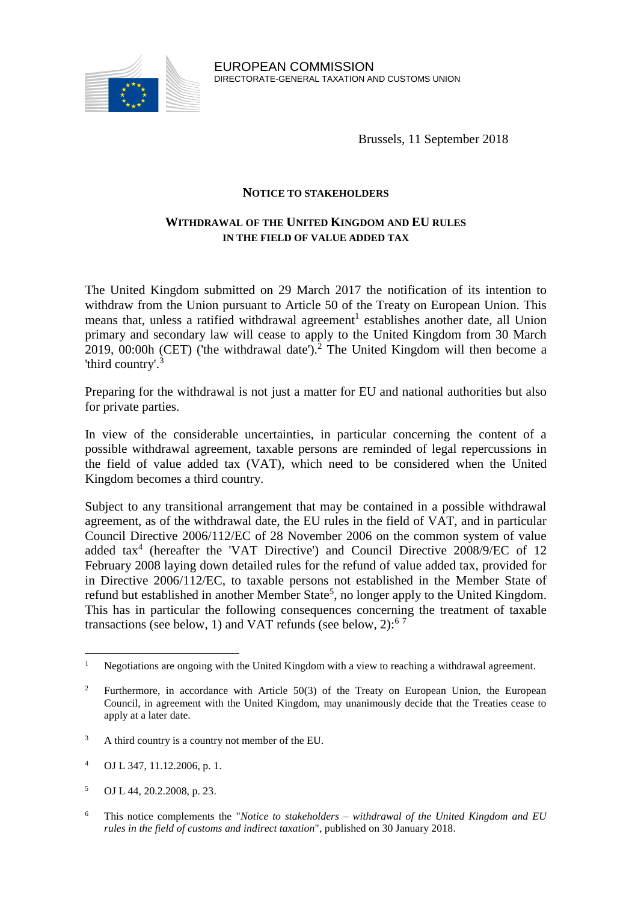

Brussels, 11 September 2018

## **NOTICE TO STAKEHOLDERS**

# **WITHDRAWAL OF THE UNITED KINGDOM AND EU RULES IN THE FIELD OF VALUE ADDED TAX**

The United Kingdom submitted on 29 March 2017 the notification of its intention to withdraw from the Union pursuant to Article 50 of the Treaty on European Union. This means that, unless a ratified withdrawal agreement<sup>1</sup> establishes another date, all Union primary and secondary law will cease to apply to the United Kingdom from 30 March 2019, 00:00h (CET) ('the withdrawal date').<sup>2</sup> The United Kingdom will then become a 'third country'.<sup>3</sup>

Preparing for the withdrawal is not just a matter for EU and national authorities but also for private parties.

In view of the considerable uncertainties, in particular concerning the content of a possible withdrawal agreement, taxable persons are reminded of legal repercussions in the field of value added tax (VAT), which need to be considered when the United Kingdom becomes a third country.

Subject to any transitional arrangement that may be contained in a possible withdrawal agreement, as of the withdrawal date, the EU rules in the field of VAT, and in particular Council Directive 2006/112/EC of 28 November 2006 on the common system of value added tax<sup>4</sup> (hereafter the 'VAT Directive') and Council Directive 2008/9/EC of 12 February 2008 laying down detailed rules for the refund of value added tax, provided for in Directive 2006/112/EC, to taxable persons not established in the Member State of refund but established in another Member State<sup>5</sup>, no longer apply to the United Kingdom. This has in particular the following consequences concerning the treatment of taxable transactions (see below, 1) and VAT refunds (see below, 2): $67$ 

<sup>&</sup>lt;sup>1</sup> Negotiations are ongoing with the United Kingdom with a view to reaching a withdrawal agreement.

<sup>2</sup> Furthermore, in accordance with Article 50(3) of the Treaty on European Union, the European Council, in agreement with the United Kingdom, may unanimously decide that the Treaties cease to apply at a later date.

<sup>&</sup>lt;sup>3</sup> A third country is a country not member of the EU.

<sup>4</sup> OJ L 347, 11.12.2006, p. 1.

<sup>5</sup> OJ L 44, 20.2.2008, p. 23.

<sup>6</sup> This notice complements the "*Notice to stakeholders – withdrawal of the United Kingdom and EU rules in the field of customs and indirect taxation*", published on 30 January 2018.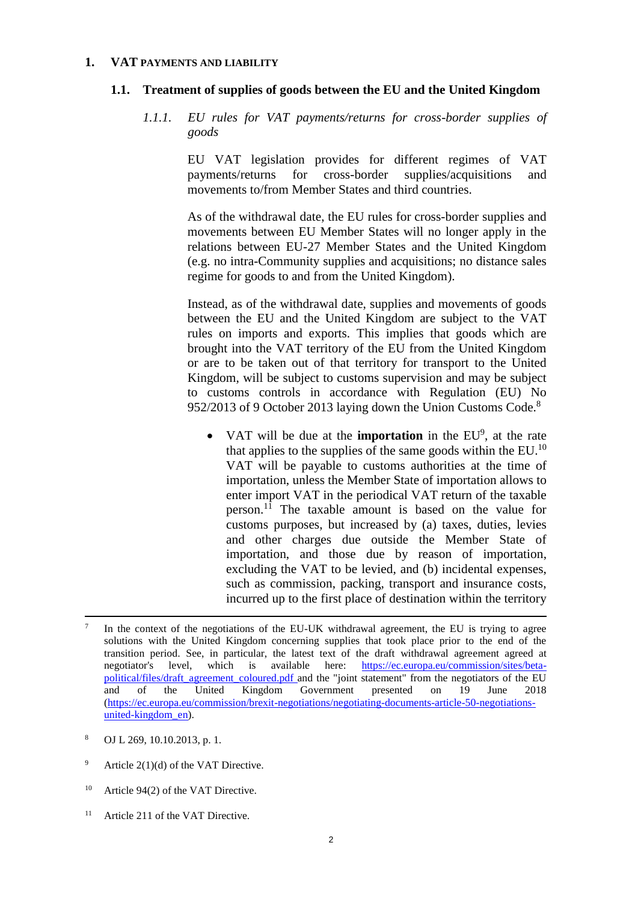#### **1. VAT PAYMENTS AND LIABILITY**

#### **1.1. Treatment of supplies of goods between the EU and the United Kingdom**

*1.1.1. EU rules for VAT payments/returns for cross-border supplies of goods*

> EU VAT legislation provides for different regimes of VAT payments/returns for cross-border supplies/acquisitions and movements to/from Member States and third countries.

> As of the withdrawal date, the EU rules for cross-border supplies and movements between EU Member States will no longer apply in the relations between EU-27 Member States and the United Kingdom (e.g. no intra-Community supplies and acquisitions; no distance sales regime for goods to and from the United Kingdom).

> Instead, as of the withdrawal date, supplies and movements of goods between the EU and the United Kingdom are subject to the VAT rules on imports and exports. This implies that goods which are brought into the VAT territory of the EU from the United Kingdom or are to be taken out of that territory for transport to the United Kingdom, will be subject to customs supervision and may be subject to customs controls in accordance with Regulation (EU) No 952/2013 of 9 October 2013 laying down the Union Customs Code.<sup>8</sup>

• VAT will be due at the **importation** in the EU<sup>9</sup>, at the rate that applies to the supplies of the same goods within the EU. $^{10}$ VAT will be payable to customs authorities at the time of importation, unless the Member State of importation allows to enter import VAT in the periodical VAT return of the taxable person. <sup>11</sup> The taxable amount is based on the value for customs purposes, but increased by (a) taxes, duties, levies and other charges due outside the Member State of importation, and those due by reason of importation, excluding the VAT to be levied, and (b) incidental expenses, such as commission, packing, transport and insurance costs, incurred up to the first place of destination within the territory

- Article  $2(1)(d)$  of the VAT Directive.
- <sup>10</sup> Article 94(2) of the VAT Directive.
- <sup>11</sup> Article 211 of the VAT Directive.

<sup>7</sup> In the context of the negotiations of the EU-UK withdrawal agreement, the EU is trying to agree solutions with the United Kingdom concerning supplies that took place prior to the end of the transition period. See, in particular, the latest text of the draft withdrawal agreement agreed at negotiator's level, which is available here: [https://ec.europa.eu/commission/sites/beta](https://ec.europa.eu/commission/sites/beta-political/files/draft_agreement_coloured.pdf)[political/files/draft\\_agreement\\_coloured.pdf](https://ec.europa.eu/commission/sites/beta-political/files/draft_agreement_coloured.pdf) and the "joint statement" from the negotiators of the EU and of the United Kingdom Government presented on 19 June 2018 [\(https://ec.europa.eu/commission/brexit-negotiations/negotiating-documents-article-50-negotiations](https://ec.europa.eu/commission/brexit-negotiations/negotiating-documents-article-50-negotiations-united-kingdom_en)[united-kingdom\\_en\)](https://ec.europa.eu/commission/brexit-negotiations/negotiating-documents-article-50-negotiations-united-kingdom_en).

<sup>8</sup> OJ L 269, 10.10.2013, p. 1.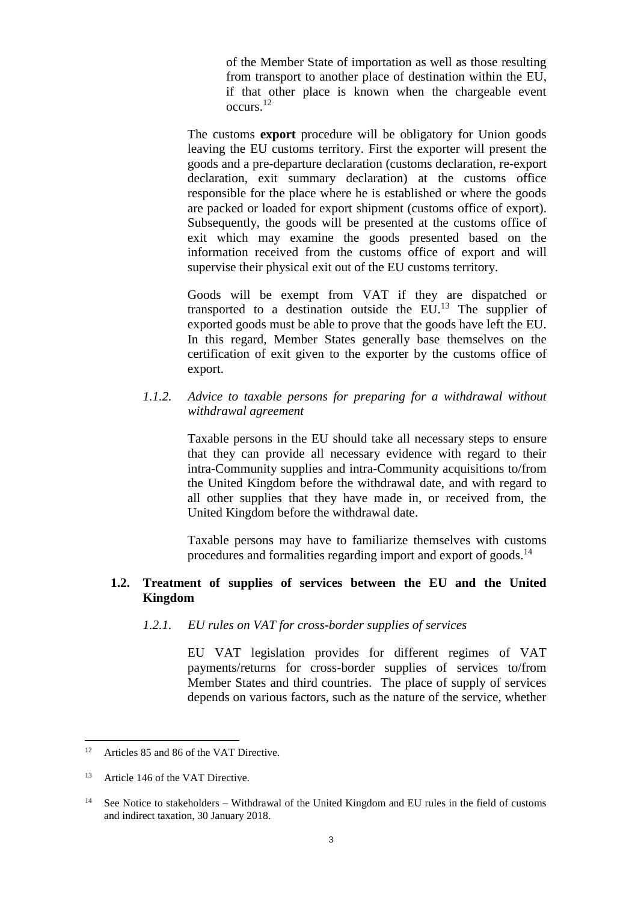of the Member State of importation as well as those resulting from transport to another place of destination within the EU, if that other place is known when the chargeable event occurs.<sup>12</sup>

The customs **export** procedure will be obligatory for Union goods leaving the EU customs territory. First the exporter will present the goods and a pre-departure declaration (customs declaration, re-export declaration, exit summary declaration) at the customs office responsible for the place where he is established or where the goods are packed or loaded for export shipment (customs office of export). Subsequently, the goods will be presented at the customs office of exit which may examine the goods presented based on the information received from the customs office of export and will supervise their physical exit out of the EU customs territory.

Goods will be exempt from VAT if they are dispatched or transported to a destination outside the  $EU$ <sup>13</sup>. The supplier of exported goods must be able to prove that the goods have left the EU. In this regard, Member States generally base themselves on the certification of exit given to the exporter by the customs office of export.

### *1.1.2. Advice to taxable persons for preparing for a withdrawal without withdrawal agreement*

Taxable persons in the EU should take all necessary steps to ensure that they can provide all necessary evidence with regard to their intra-Community supplies and intra-Community acquisitions to/from the United Kingdom before the withdrawal date, and with regard to all other supplies that they have made in, or received from, the United Kingdom before the withdrawal date.

Taxable persons may have to familiarize themselves with customs procedures and formalities regarding import and export of goods.<sup>14</sup>

# **1.2. Treatment of supplies of services between the EU and the United Kingdom**

#### *1.2.1. EU rules on VAT for cross-border supplies of services*

EU VAT legislation provides for different regimes of VAT payments/returns for cross-border supplies of services to/from Member States and third countries. The place of supply of services depends on various factors, such as the nature of the service, whether

<sup>&</sup>lt;sup>12</sup> Articles 85 and 86 of the VAT Directive.

<sup>&</sup>lt;sup>13</sup> Article 146 of the VAT Directive.

<sup>&</sup>lt;sup>14</sup> See Notice to stakeholders – Withdrawal of the United Kingdom and EU rules in the field of customs and indirect taxation, 30 January 2018.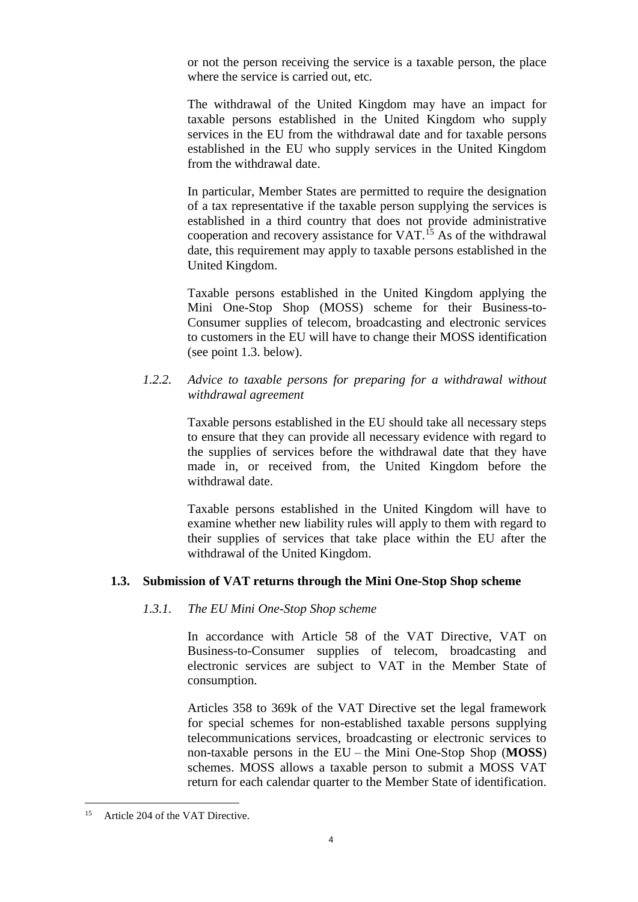or not the person receiving the service is a taxable person, the place where the service is carried out, etc.

The withdrawal of the United Kingdom may have an impact for taxable persons established in the United Kingdom who supply services in the EU from the withdrawal date and for taxable persons established in the EU who supply services in the United Kingdom from the withdrawal date.

In particular, Member States are permitted to require the designation of a tax representative if the taxable person supplying the services is established in a third country that does not provide administrative cooperation and recovery assistance for VAT.<sup>15</sup> As of the withdrawal date, this requirement may apply to taxable persons established in the United Kingdom.

Taxable persons established in the United Kingdom applying the Mini One-Stop Shop (MOSS) scheme for their Business-to-Consumer supplies of telecom, broadcasting and electronic services to customers in the EU will have to change their MOSS identification (see point 1.3. below).

## *1.2.2. Advice to taxable persons for preparing for a withdrawal without withdrawal agreement*

Taxable persons established in the EU should take all necessary steps to ensure that they can provide all necessary evidence with regard to the supplies of services before the withdrawal date that they have made in, or received from, the United Kingdom before the withdrawal date.

Taxable persons established in the United Kingdom will have to examine whether new liability rules will apply to them with regard to their supplies of services that take place within the EU after the withdrawal of the United Kingdom.

# **1.3. Submission of VAT returns through the Mini One-Stop Shop scheme**

### *1.3.1. The EU Mini One-Stop Shop scheme*

In accordance with Article 58 of the VAT Directive, VAT on Business-to-Consumer supplies of telecom, broadcasting and electronic services are subject to VAT in the Member State of consumption.

Articles 358 to 369k of the VAT Directive set the legal framework for special schemes for non-established taxable persons supplying telecommunications services, broadcasting or electronic services to non-taxable persons in the EU – the Mini One-Stop Shop (**MOSS**) schemes. MOSS allows a taxable person to submit a MOSS VAT return for each calendar quarter to the Member State of identification.

 $15$ Article 204 of the VAT Directive.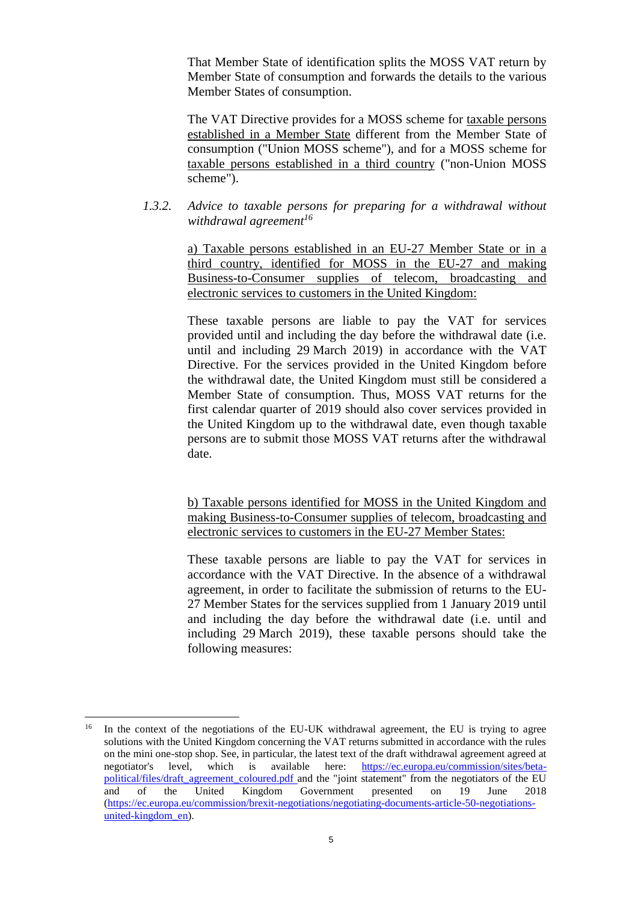That Member State of identification splits the MOSS VAT return by Member State of consumption and forwards the details to the various Member States of consumption.

The VAT Directive provides for a MOSS scheme for taxable persons established in a Member State different from the Member State of consumption ("Union MOSS scheme"), and for a MOSS scheme for taxable persons established in a third country ("non-Union MOSS scheme").

*1.3.2. Advice to taxable persons for preparing for a withdrawal without withdrawal agreement<sup>16</sup>*

> a) Taxable persons established in an EU-27 Member State or in a third country, identified for MOSS in the EU-27 and making Business-to-Consumer supplies of telecom, broadcasting and electronic services to customers in the United Kingdom:

> These taxable persons are liable to pay the VAT for services provided until and including the day before the withdrawal date (i.e. until and including 29 March 2019) in accordance with the VAT Directive. For the services provided in the United Kingdom before the withdrawal date, the United Kingdom must still be considered a Member State of consumption. Thus, MOSS VAT returns for the first calendar quarter of 2019 should also cover services provided in the United Kingdom up to the withdrawal date, even though taxable persons are to submit those MOSS VAT returns after the withdrawal date.

> b) Taxable persons identified for MOSS in the United Kingdom and making Business-to-Consumer supplies of telecom, broadcasting and electronic services to customers in the EU-27 Member States:

> These taxable persons are liable to pay the VAT for services in accordance with the VAT Directive. In the absence of a withdrawal agreement, in order to facilitate the submission of returns to the EU-27 Member States for the services supplied from 1 January 2019 until and including the day before the withdrawal date (i.e. until and including 29 March 2019), these taxable persons should take the following measures:

<sup>&</sup>lt;sup>16</sup> In the context of the negotiations of the EU-UK withdrawal agreement, the EU is trying to agree solutions with the United Kingdom concerning the VAT returns submitted in accordance with the rules on the mini one-stop shop. See, in particular, the latest text of the draft withdrawal agreement agreed at negotiator's level, which is available here: [https://ec.europa.eu/commission/sites/beta](https://ec.europa.eu/commission/sites/beta-political/files/draft_agreement_coloured.pdf)[political/files/draft\\_agreement\\_coloured.pdf](https://ec.europa.eu/commission/sites/beta-political/files/draft_agreement_coloured.pdf) and the "joint statement" from the negotiators of the EU and of the United Kingdom Government presented on 19 June 2018 [\(https://ec.europa.eu/commission/brexit-negotiations/negotiating-documents-article-50-negotiations](https://ec.europa.eu/commission/brexit-negotiations/negotiating-documents-article-50-negotiations-united-kingdom_en)[united-kingdom\\_en\)](https://ec.europa.eu/commission/brexit-negotiations/negotiating-documents-article-50-negotiations-united-kingdom_en).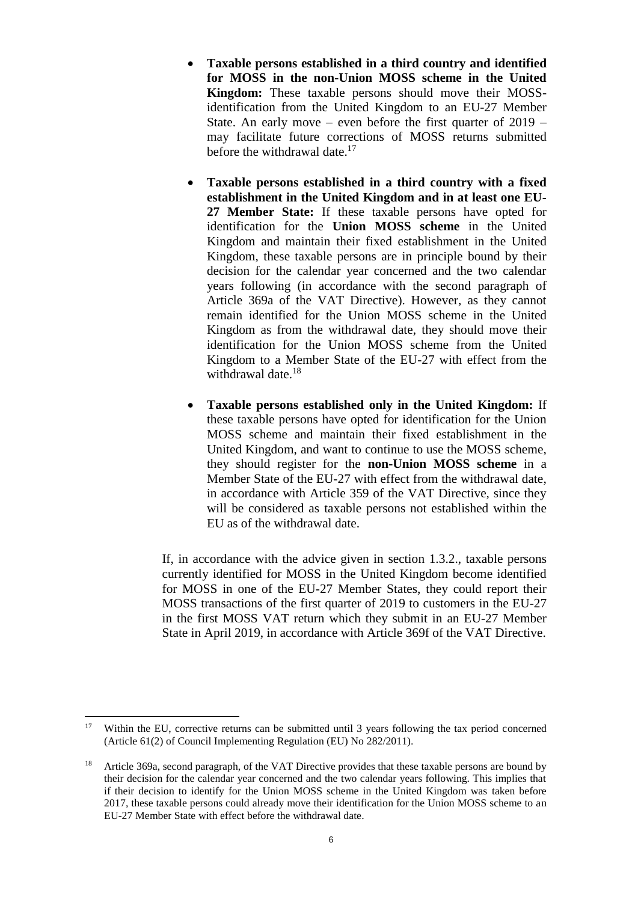- **Taxable persons established in a third country and identified for MOSS in the non-Union MOSS scheme in the United Kingdom:** These taxable persons should move their MOSSidentification from the United Kingdom to an EU-27 Member State. An early move – even before the first quarter of 2019 – may facilitate future corrections of MOSS returns submitted before the withdrawal date.<sup>17</sup>
- **Taxable persons established in a third country with a fixed establishment in the United Kingdom and in at least one EU-27 Member State:** If these taxable persons have opted for identification for the **Union MOSS scheme** in the United Kingdom and maintain their fixed establishment in the United Kingdom, these taxable persons are in principle bound by their decision for the calendar year concerned and the two calendar years following (in accordance with the second paragraph of Article 369a of the VAT Directive). However, as they cannot remain identified for the Union MOSS scheme in the United Kingdom as from the withdrawal date, they should move their identification for the Union MOSS scheme from the United Kingdom to a Member State of the EU-27 with effect from the withdrawal date.<sup>18</sup>
- **Taxable persons established only in the United Kingdom:** If these taxable persons have opted for identification for the Union MOSS scheme and maintain their fixed establishment in the United Kingdom, and want to continue to use the MOSS scheme, they should register for the **non-Union MOSS scheme** in a Member State of the EU-27 with effect from the withdrawal date, in accordance with Article 359 of the VAT Directive, since they will be considered as taxable persons not established within the EU as of the withdrawal date.

If, in accordance with the advice given in section 1.3.2., taxable persons currently identified for MOSS in the United Kingdom become identified for MOSS in one of the EU-27 Member States, they could report their MOSS transactions of the first quarter of 2019 to customers in the EU-27 in the first MOSS VAT return which they submit in an EU-27 Member State in April 2019, in accordance with Article 369f of the VAT Directive.

<sup>&</sup>lt;sup>17</sup> Within the EU, corrective returns can be submitted until 3 years following the tax period concerned (Article 61(2) of Council Implementing Regulation (EU) No 282/2011).

<sup>&</sup>lt;sup>18</sup> Article 369a, second paragraph, of the VAT Directive provides that these taxable persons are bound by their decision for the calendar year concerned and the two calendar years following. This implies that if their decision to identify for the Union MOSS scheme in the United Kingdom was taken before 2017, these taxable persons could already move their identification for the Union MOSS scheme to an EU-27 Member State with effect before the withdrawal date.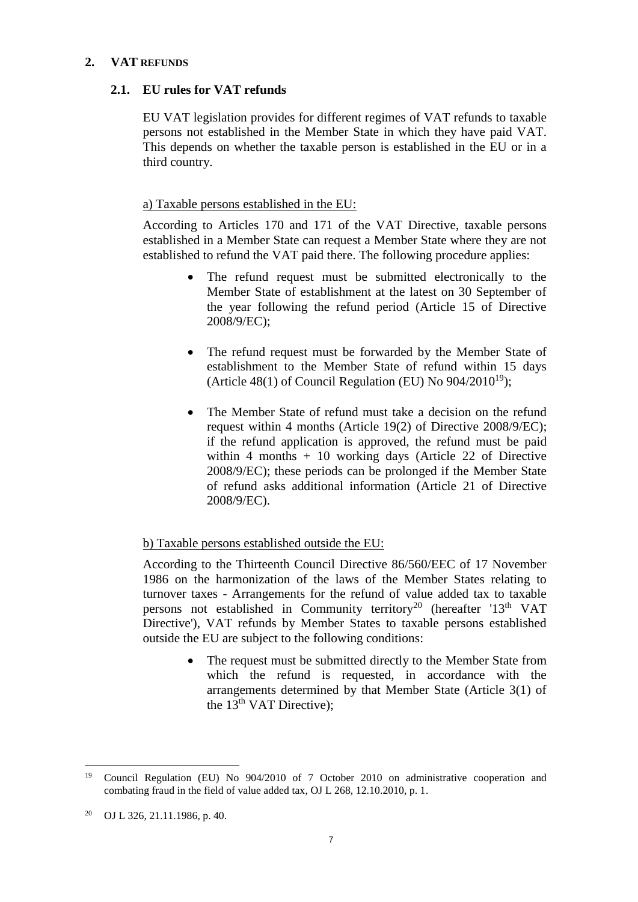## **2. VAT REFUNDS**

## **2.1. EU rules for VAT refunds**

EU VAT legislation provides for different regimes of VAT refunds to taxable persons not established in the Member State in which they have paid VAT. This depends on whether the taxable person is established in the EU or in a third country.

## a) Taxable persons established in the EU:

According to Articles 170 and 171 of the VAT Directive, taxable persons established in a Member State can request a Member State where they are not established to refund the VAT paid there. The following procedure applies:

- The refund request must be submitted electronically to the Member State of establishment at the latest on 30 September of the year following the refund period (Article 15 of Directive 2008/9/EC);
- The refund request must be forwarded by the Member State of establishment to the Member State of refund within 15 days (Article 48(1) of Council Regulation (EU) No  $904/2010^{19}$ );
- The Member State of refund must take a decision on the refund request within 4 months (Article 19(2) of Directive 2008/9/EC); if the refund application is approved, the refund must be paid within 4 months + 10 working days (Article 22 of Directive 2008/9/EC); these periods can be prolonged if the Member State of refund asks additional information (Article 21 of Directive 2008/9/EC).

# b) Taxable persons established outside the EU:

According to the Thirteenth Council Directive 86/560/EEC of 17 November 1986 on the harmonization of the laws of the Member States relating to turnover taxes - Arrangements for the refund of value added tax to taxable persons not established in Community territory<sup>20</sup> (hereafter '13<sup>th</sup> VAT Directive'), VAT refunds by Member States to taxable persons established outside the EU are subject to the following conditions:

> • The request must be submitted directly to the Member State from which the refund is requested, in accordance with the arrangements determined by that Member State (Article 3(1) of the  $13<sup>th</sup>$  VAT Directive);

 $\overline{a}$ <sup>19</sup> Council Regulation (EU) No 904/2010 of 7 October 2010 on administrative cooperation and combating fraud in the field of value added tax, OJ L 268, 12.10.2010, p. 1.

<sup>20</sup> OJ L 326, 21.11.1986, p. 40.